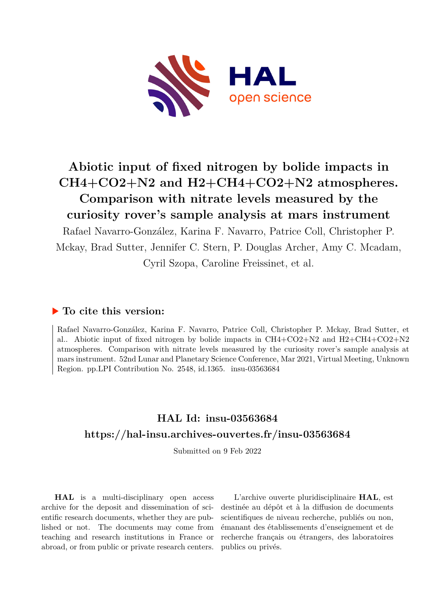

## **Abiotic input of fixed nitrogen by bolide impacts in CH4+CO2+N2 and H2+CH4+CO2+N2 atmospheres. Comparison with nitrate levels measured by the curiosity rover's sample analysis at mars instrument**

Rafael Navarro-González, Karina F. Navarro, Patrice Coll, Christopher P. Mckay, Brad Sutter, Jennifer C. Stern, P. Douglas Archer, Amy C. Mcadam, Cyril Szopa, Caroline Freissinet, et al.

## **To cite this version:**

Rafael Navarro-González, Karina F. Navarro, Patrice Coll, Christopher P. Mckay, Brad Sutter, et al.. Abiotic input of fixed nitrogen by bolide impacts in  $CH4+CO2+N2$  and  $H2+CH4+CO2+N2$ atmospheres. Comparison with nitrate levels measured by the curiosity rover's sample analysis at mars instrument. 52nd Lunar and Planetary Science Conference, Mar 2021, Virtual Meeting, Unknown Region. pp.LPI Contribution No. 2548, id.1365. insu-03563684

## **HAL Id: insu-03563684 <https://hal-insu.archives-ouvertes.fr/insu-03563684>**

Submitted on 9 Feb 2022

**HAL** is a multi-disciplinary open access archive for the deposit and dissemination of scientific research documents, whether they are published or not. The documents may come from teaching and research institutions in France or abroad, or from public or private research centers.

L'archive ouverte pluridisciplinaire **HAL**, est destinée au dépôt et à la diffusion de documents scientifiques de niveau recherche, publiés ou non, émanant des établissements d'enseignement et de recherche français ou étrangers, des laboratoires publics ou privés.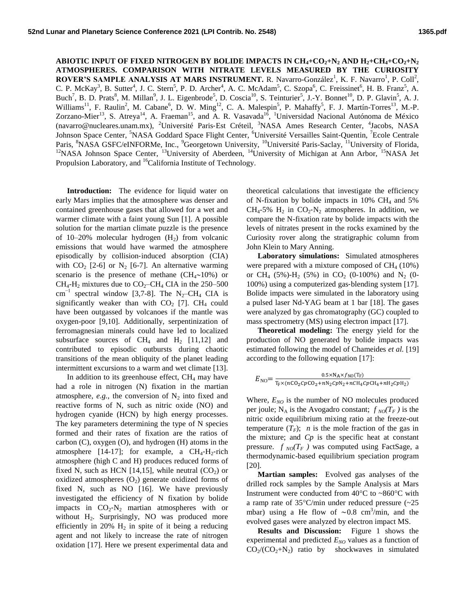**ABIOTIC INPUT OF FIXED NITROGEN BY BOLIDE IMPACTS IN CH4+CO2+N<sup>2</sup> AND H2+CH4+CO2+N<sup>2</sup> ATMOSPHERES. COMPARISON WITH NITRATE LEVELS MEASURED BY THE CURIOSITY**  ROVER'S SAMPLE ANALYSIS AT MARS INSTRUMENT. R. Navarro-González<sup>1</sup>, K. F. Navarro<sup>1</sup>, P. Coll<sup>2</sup>, C. P. McKay<sup>3</sup>, B. Sutter<sup>4</sup>, J. C. Stern<sup>5</sup>, P. D. Archer<sup>4</sup>, A. C. McAdam<sup>5</sup>, C. Szopa<sup>6</sup>, C. Freissinet<sup>6</sup>, H. B. Franz<sup>5</sup>, A. Buch<sup>7</sup>, B. D. Prats<sup>8</sup>, M. Millan<sup>9</sup>, J. L. Eigenbrode<sup>5</sup>, D. Coscia<sup>10</sup>, S. Teinturier<sup>5</sup>, J.-Y. Bonnet<sup>10</sup>, D. P. Glavin<sup>5</sup>, A. J. Williams<sup>11</sup>, F. Raulin<sup>2</sup>, M. Cabane<sup>6</sup>, D. W. Ming<sup>12</sup>, C. A. Malespin<sup>5</sup>, P. Mahaffy<sup>5</sup>, F. J. Martín-Torres<sup>13</sup>, M.-P. Zorzano-Mier<sup>13</sup>, S. Atreya<sup>14</sup>, A. Fraeman<sup>15</sup>, and A. R. Vasavada<sup>16</sup>, <sup>1</sup>Universidad Nacional Autónoma de México (navarro@nucleares.unam.mx), <sup>2</sup>Université Paris-Est Créteil, <sup>3</sup>NASA Ames Research Center, <sup>4</sup>Jacobs, NASA Johnson Space Center, <sup>5</sup>NASA Goddard Space Flight Center, <sup>6</sup>Université Versailles Saint-Quentin, <sup>7</sup>Ecole Centrale Paris, <sup>8</sup>NASA GSFC/eINFORMe, Inc., <sup>9</sup>Georgetown University, <sup>10</sup>Université Paris-Saclay, <sup>11</sup>University of Florida, <sup>12</sup>NASA Johnson Space Center, <sup>13</sup>University of Aberdeen, <sup>14</sup>University of Michigan at Ann Arbor, <sup>15</sup>NASA Jet Propulsion Laboratory, and <sup>16</sup>California Institute of Technology.

**Introduction:** The evidence for liquid water on early Mars implies that the atmosphere was denser and contained greenhouse gases that allowed for a wet and warmer climate with a faint young Sun [1]. A possible solution for the martian climate puzzle is the presence of 10–20% molecular hydrogen  $(H<sub>2</sub>)$  from volcanic emissions that would have warmed the atmosphere episodically by collision‐induced absorption (CIA) with  $CO_2$  [2-6] or N<sub>2</sub> [6-7]. An alternative warming scenario is the presence of methane ( $CH<sub>4</sub>$ ~10%) or  $CH<sub>4</sub>-H<sub>2</sub>$  mixtures due to  $CO<sub>2</sub>-CH<sub>4</sub> CIA$  in the 250–500 cm<sup>-1</sup> spectral window [3,7-8]. The N<sub>2</sub>–CH<sub>4</sub> CIA is significantly weaker than with  $CO<sub>2</sub>$  [7]. CH<sub>4</sub> could have been outgassed by volcanoes if the mantle was oxygen-poor [9,10]. Additionally, serpentinization of ferromagnesian minerals could have led to localized subsurface sources of  $CH_4$  and  $H_2$  [11,12] and contributed to episodic outbursts during chaotic transitions of the mean obliquity of the planet leading intermittent excursions to a warm and wet climate [13].

In addition to its greenhouse effect,  $CH<sub>4</sub>$  may have had a role in nitrogen (N) fixation in the martian atmosphere,  $e.g.,$  the conversion of  $N_2$  into fixed and reactive forms of N, such as nitric oxide (NO) and hydrogen cyanide (HCN) by high energy processes. The key parameters determining the type of N species formed and their rates of fixation are the ratios of carbon (C), oxygen (O), and hydrogen (H) atoms in the atmosphere [14-17]; for example, a  $CH_4$ - $H_2$ -rich atmosphere (high C and H) produces reduced forms of fixed N, such as HCN [14,15], while neutral  $(CO<sub>2</sub>)$  or oxidized atmospheres  $(O_2)$  generate oxidized forms of fixed N, such as NO [16]. We have previously investigated the efficiency of N fixation by bolide impacts in  $CO_2$ -N<sub>2</sub> martian atmospheres with or without  $H_2$ . Surprisingly, NO was produced more efficiently in 20%  $H_2$  in spite of it being a reducing agent and not likely to increase the rate of nitrogen oxidation [17]. Here we present experimental data and

theoretical calculations that investigate the efficiency of N-fixation by bolide impacts in 10% CH<sub>4</sub> and 5%  $CH_4$ -5%  $H_2$  in  $CO_2$ -N<sub>2</sub> atmospheres. In addition, we compare the N-fixation rate by bolide impacts with the levels of nitrates present in the rocks examined by the Curiosity rover along the stratigraphic column from John Klein to Mary Anning.

**Laboratory simulations:** Simulated atmospheres were prepared with a mixture composed of  $CH<sub>4</sub>$  (10%) or CH<sub>4</sub> (5%)-H<sub>2</sub> (5%) in CO<sub>2</sub> (0-100%) and N<sub>2</sub> (0-100%) using a computerized gas‐blending system [17]. Bolide impacts were simulated in the laboratory using a pulsed laser Nd-YAG beam at 1 bar [18]. The gases were analyzed by gas chromatography (GC) coupled to mass spectrometry (MS) using electron impact [17].

**Theoretical modeling:** The energy yield for the production of NO generated by bolide impacts was estimated following the model of Chameides *et al.* [19] according to the following equation [17]:

$$
E_{\rm NO}\textcolor{black}{=}\frac{\textcolor{red}{0.5\times N_{\rm A}\times f_{\rm NO}(\textcolor{black}{\textbf{T}_{\rm F}})}}{\textcolor{black}{\textbf{T}_{\rm F}\times (n\textcolor{black}{\textbf{CO}_2}\textcolor{black}{Cp\textcolor{black}{\textbf{CO}_2}}+n\textcolor{black}{N_2}\textcolor{black}{Cp\textcolor{black}{N_2}}+n\textcolor{black}{\textbf{CH}_4}\textcolor{black}{Cp\textcolor{black}{\textbf{H}}}}\textcolor{black}{\textbf{T}_{\rm F}\textcolor{black}{\textbf{H}}}}\frac{\textcolor{red}{0.5\times N_{\rm A}\times f_{\rm NO}(\textcolor{black}{\textbf{T}_{\rm F}})}}{\textcolor{red}{\textbf{T}_{\rm F}\times (n\textcolor{black}{\textbf{CO}_2}\textcolor{black}{Cp\textcolor{black}{\textbf{CO}_2}}+n\textcolor{black}{\textbf{N}_2}\textcolor{black}{Cp\textcolor{black}{N_2}}+n\textcolor{black}{\textbf{CH}_4}\textcolor{black}{Cp\textcolor{black}{\textbf{H}}}}\textcolor{black}{\textbf{T}_{\rm F}\textcolor{black}{\textbf{T}_{\rm F}}}}
$$

Where,  $E_{NO}$  is the number of NO molecules produced per joule; N<sub>A</sub> is the Avogadro constant;  $f_{NO}(T_F)$  is the nitric oxide equilibrium mixing ratio at the freeze-out temperature  $(T_F)$ ; *n* is the mole fraction of the gas in the mixture; and *Cp* is the specific heat at constant pressure.  $f_{NO}(T_F)$  was computed using FactSage, a thermodynamic-based equilibrium speciation program [20].

**Martian samples:** Evolved gas analyses of the drilled rock samples by the Sample Analysis at Mars Instrument were conducted from  $40^{\circ}$ C to ~860 $^{\circ}$ C with a ramp rate of  $35^{\circ}$ C/min under reduced pressure (~25 mbar) using a He flow of ~0.8 cm<sup>3</sup>/min, and the evolved gases were analyzed by electron impact MS.

**Results and Discussion:** Figure 1 shows the experimental and predicted  $E_{NO}$  values as a function of  $CO_2/(CO_2+N_2)$  ratio by shockwaves in simulated